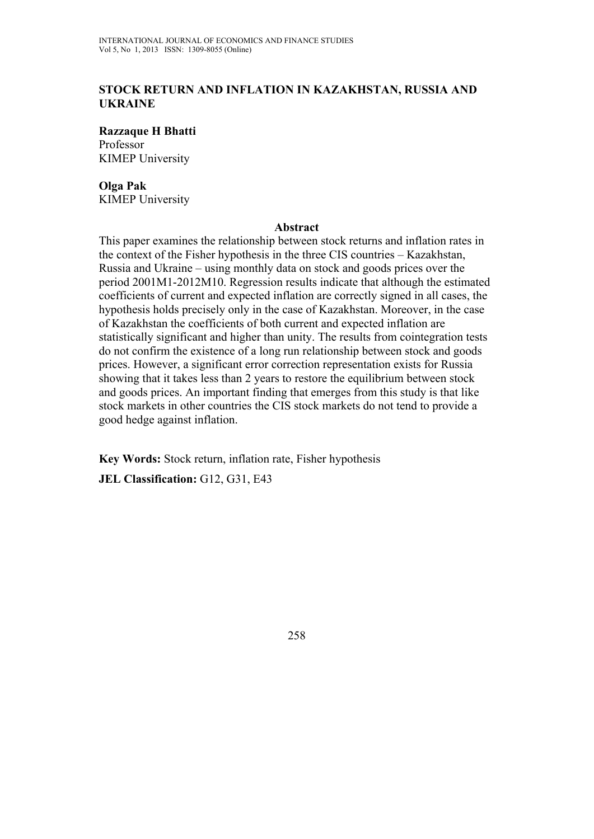## **STOCK RETURN AND INFLATION IN KAZAKHSTAN, RUSSIA AND UKRAINE**

**Razzaque H Bhatti**  Professor KIMEP University

# **Olga Pak**

KIMEP University

#### **Abstract**

This paper examines the relationship between stock returns and inflation rates in the context of the Fisher hypothesis in the three CIS countries – Kazakhstan, Russia and Ukraine – using monthly data on stock and goods prices over the period 2001M1-2012M10. Regression results indicate that although the estimated coefficients of current and expected inflation are correctly signed in all cases, the hypothesis holds precisely only in the case of Kazakhstan. Moreover, in the case of Kazakhstan the coefficients of both current and expected inflation are statistically significant and higher than unity. The results from cointegration tests do not confirm the existence of a long run relationship between stock and goods prices. However, a significant error correction representation exists for Russia showing that it takes less than 2 years to restore the equilibrium between stock and goods prices. An important finding that emerges from this study is that like stock markets in other countries the CIS stock markets do not tend to provide a good hedge against inflation.

**Key Words:** Stock return, inflation rate, Fisher hypothesis **JEL Classification:** G12, G31, E43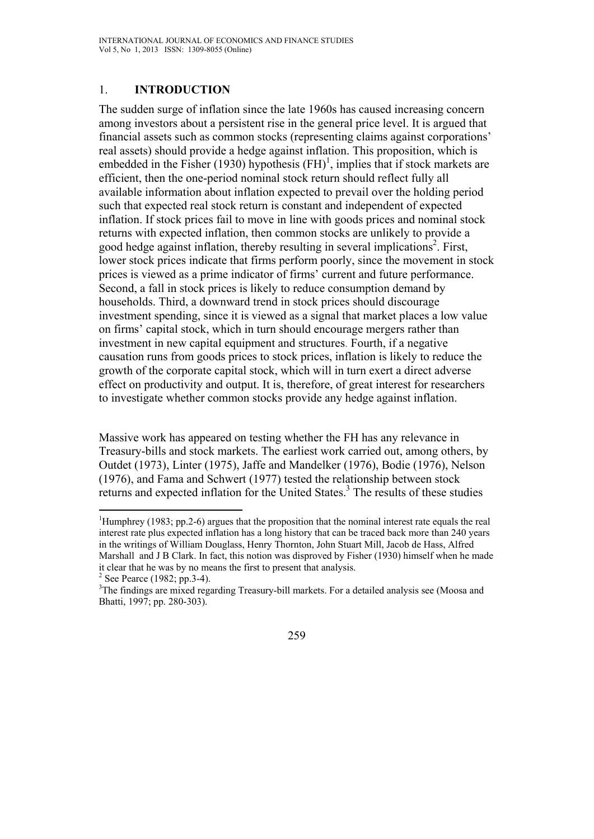## 1. **INTRODUCTION**

The sudden surge of inflation since the late 1960s has caused increasing concern among investors about a persistent rise in the general price level. It is argued that financial assets such as common stocks (representing claims against corporations' real assets) should provide a hedge against inflation. This proposition, which is embedded in the Fisher (1930) hypothesis  $(FH)^1$ , implies that if stock markets are efficient, then the one-period nominal stock return should reflect fully all available information about inflation expected to prevail over the holding period such that expected real stock return is constant and independent of expected inflation. If stock prices fail to move in line with goods prices and nominal stock returns with expected inflation, then common stocks are unlikely to provide a good hedge against inflation, thereby resulting in several implications<sup>2</sup>. First, lower stock prices indicate that firms perform poorly, since the movement in stock prices is viewed as a prime indicator of firms' current and future performance. Second, a fall in stock prices is likely to reduce consumption demand by households. Third, a downward trend in stock prices should discourage investment spending, since it is viewed as a signal that market places a low value on firms' capital stock, which in turn should encourage mergers rather than investment in new capital equipment and structures. Fourth, if a negative causation runs from goods prices to stock prices, inflation is likely to reduce the growth of the corporate capital stock, which will in turn exert a direct adverse effect on productivity and output. It is, therefore, of great interest for researchers to investigate whether common stocks provide any hedge against inflation.

Massive work has appeared on testing whether the FH has any relevance in Treasury-bills and stock markets. The earliest work carried out, among others, by Outdet (1973), Linter (1975), Jaffe and Mandelker (1976), Bodie (1976), Nelson (1976), and Fama and Schwert (1977) tested the relationship between stock returns and expected inflation for the United States.<sup>3</sup> The results of these studies

 $\overline{a}$ 

<sup>&</sup>lt;sup>1</sup>Humphrey (1983; pp.2-6) argues that the proposition that the nominal interest rate equals the real interest rate plus expected inflation has a long history that can be traced back more than 240 years in the writings of William Douglass, Henry Thornton, John Stuart Mill, Jacob de Hass, Alfred Marshall and J B Clark. In fact, this notion was disproved by Fisher (1930) himself when he made it clear that he was by no means the first to present that analysis. 2

 $2$  See Pearce (1982; pp.3-4).

<sup>&</sup>lt;sup>3</sup>The findings are mixed regarding Treasury-bill markets. For a detailed analysis see (Moosa and Bhatti, 1997; pp. 280-303).

<sup>259</sup>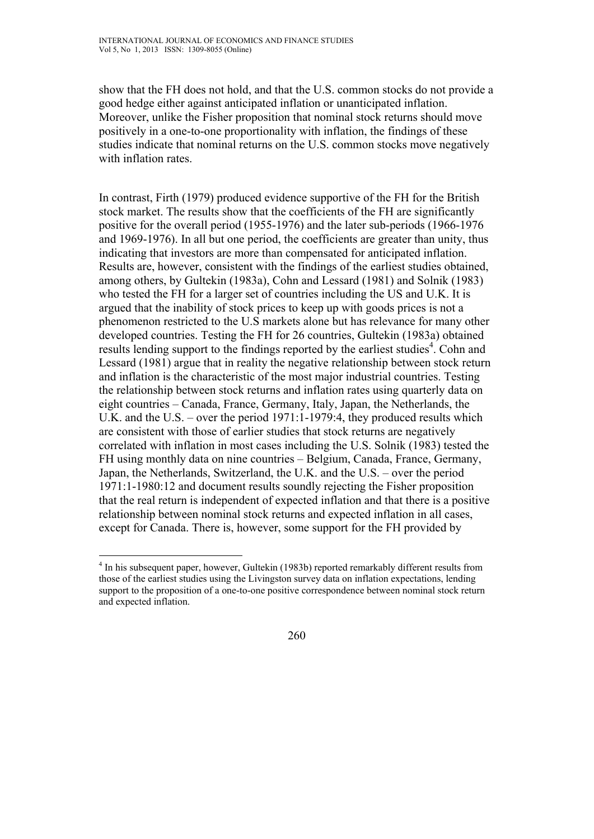show that the FH does not hold, and that the U.S. common stocks do not provide a good hedge either against anticipated inflation or unanticipated inflation. Moreover, unlike the Fisher proposition that nominal stock returns should move positively in a one-to-one proportionality with inflation, the findings of these studies indicate that nominal returns on the U.S. common stocks move negatively with inflation rates.

In contrast, Firth (1979) produced evidence supportive of the FH for the British stock market. The results show that the coefficients of the FH are significantly positive for the overall period (1955-1976) and the later sub-periods (1966-1976 and 1969-1976). In all but one period, the coefficients are greater than unity, thus indicating that investors are more than compensated for anticipated inflation. Results are, however, consistent with the findings of the earliest studies obtained, among others, by Gultekin (1983a), Cohn and Lessard (1981) and Solnik (1983) who tested the FH for a larger set of countries including the US and U.K. It is argued that the inability of stock prices to keep up with goods prices is not a phenomenon restricted to the U.S markets alone but has relevance for many other developed countries. Testing the FH for 26 countries, Gultekin (1983a) obtained results lending support to the findings reported by the earliest studies<sup>4</sup>. Cohn and Lessard (1981) argue that in reality the negative relationship between stock return and inflation is the characteristic of the most major industrial countries. Testing the relationship between stock returns and inflation rates using quarterly data on eight countries – Canada, France, Germany, Italy, Japan, the Netherlands, the U.K. and the U.S. – over the period 1971:1-1979:4, they produced results which are consistent with those of earlier studies that stock returns are negatively correlated with inflation in most cases including the U.S. Solnik (1983) tested the FH using monthly data on nine countries – Belgium, Canada, France, Germany, Japan, the Netherlands, Switzerland, the U.K. and the U.S. – over the period 1971:1-1980:12 and document results soundly rejecting the Fisher proposition that the real return is independent of expected inflation and that there is a positive relationship between nominal stock returns and expected inflation in all cases, except for Canada. There is, however, some support for the FH provided by

 $\overline{a}$ <sup>4</sup> In his subsequent paper, however, Gultekin (1983b) reported remarkably different results from those of the earliest studies using the Livingston survey data on inflation expectations, lending support to the proposition of a one-to-one positive correspondence between nominal stock return and expected inflation.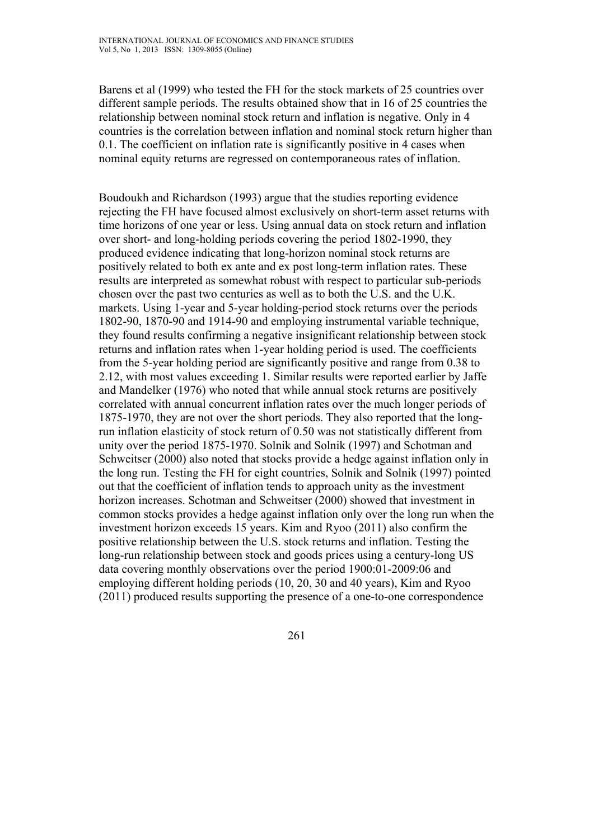Barens et al (1999) who tested the FH for the stock markets of 25 countries over different sample periods. The results obtained show that in 16 of 25 countries the relationship between nominal stock return and inflation is negative. Only in 4 countries is the correlation between inflation and nominal stock return higher than 0.1. The coefficient on inflation rate is significantly positive in 4 cases when nominal equity returns are regressed on contemporaneous rates of inflation.

Boudoukh and Richardson (1993) argue that the studies reporting evidence rejecting the FH have focused almost exclusively on short-term asset returns with time horizons of one year or less. Using annual data on stock return and inflation over short- and long-holding periods covering the period 1802-1990, they produced evidence indicating that long-horizon nominal stock returns are positively related to both ex ante and ex post long-term inflation rates. These results are interpreted as somewhat robust with respect to particular sub-periods chosen over the past two centuries as well as to both the U.S. and the U.K. markets. Using 1-year and 5-year holding-period stock returns over the periods 1802-90, 1870-90 and 1914-90 and employing instrumental variable technique, they found results confirming a negative insignificant relationship between stock returns and inflation rates when 1-year holding period is used. The coefficients from the 5-year holding period are significantly positive and range from 0.38 to 2.12, with most values exceeding 1. Similar results were reported earlier by Jaffe and Mandelker (1976) who noted that while annual stock returns are positively correlated with annual concurrent inflation rates over the much longer periods of 1875-1970, they are not over the short periods. They also reported that the longrun inflation elasticity of stock return of 0.50 was not statistically different from unity over the period 1875-1970. Solnik and Solnik (1997) and Schotman and Schweitser (2000) also noted that stocks provide a hedge against inflation only in the long run. Testing the FH for eight countries, Solnik and Solnik (1997) pointed out that the coefficient of inflation tends to approach unity as the investment horizon increases. Schotman and Schweitser (2000) showed that investment in common stocks provides a hedge against inflation only over the long run when the investment horizon exceeds 15 years. Kim and Ryoo (2011) also confirm the positive relationship between the U.S. stock returns and inflation. Testing the long-run relationship between stock and goods prices using a century-long US data covering monthly observations over the period 1900:01-2009:06 and employing different holding periods (10, 20, 30 and 40 years), Kim and Ryoo (2011) produced results supporting the presence of a one-to-one correspondence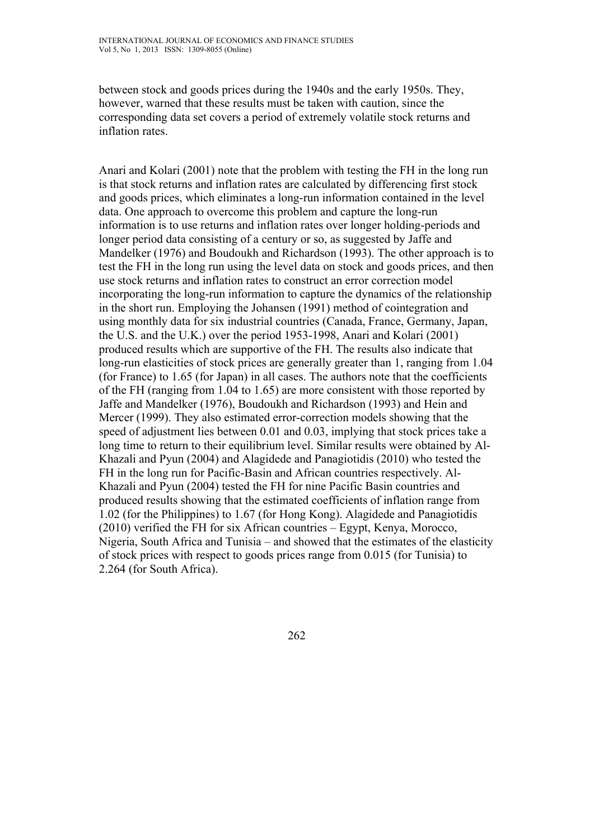between stock and goods prices during the 1940s and the early 1950s. They, however, warned that these results must be taken with caution, since the corresponding data set covers a period of extremely volatile stock returns and inflation rates.

Anari and Kolari (2001) note that the problem with testing the FH in the long run is that stock returns and inflation rates are calculated by differencing first stock and goods prices, which eliminates a long-run information contained in the level data. One approach to overcome this problem and capture the long-run information is to use returns and inflation rates over longer holding-periods and longer period data consisting of a century or so, as suggested by Jaffe and Mandelker (1976) and Boudoukh and Richardson (1993). The other approach is to test the FH in the long run using the level data on stock and goods prices, and then use stock returns and inflation rates to construct an error correction model incorporating the long-run information to capture the dynamics of the relationship in the short run. Employing the Johansen (1991) method of cointegration and using monthly data for six industrial countries (Canada, France, Germany, Japan, the U.S. and the U.K.) over the period 1953-1998, Anari and Kolari (2001) produced results which are supportive of the FH. The results also indicate that long-run elasticities of stock prices are generally greater than 1, ranging from 1.04 (for France) to 1.65 (for Japan) in all cases. The authors note that the coefficients of the FH (ranging from 1.04 to 1.65) are more consistent with those reported by Jaffe and Mandelker (1976), Boudoukh and Richardson (1993) and Hein and Mercer (1999). They also estimated error-correction models showing that the speed of adjustment lies between 0.01 and 0.03, implying that stock prices take a long time to return to their equilibrium level. Similar results were obtained by Al-Khazali and Pyun (2004) and Alagidede and Panagiotidis (2010) who tested the FH in the long run for Pacific-Basin and African countries respectively. Al-Khazali and Pyun (2004) tested the FH for nine Pacific Basin countries and produced results showing that the estimated coefficients of inflation range from 1.02 (for the Philippines) to 1.67 (for Hong Kong). Alagidede and Panagiotidis (2010) verified the FH for six African countries – Egypt, Kenya, Morocco, Nigeria, South Africa and Tunisia – and showed that the estimates of the elasticity of stock prices with respect to goods prices range from 0.015 (for Tunisia) to 2.264 (for South Africa).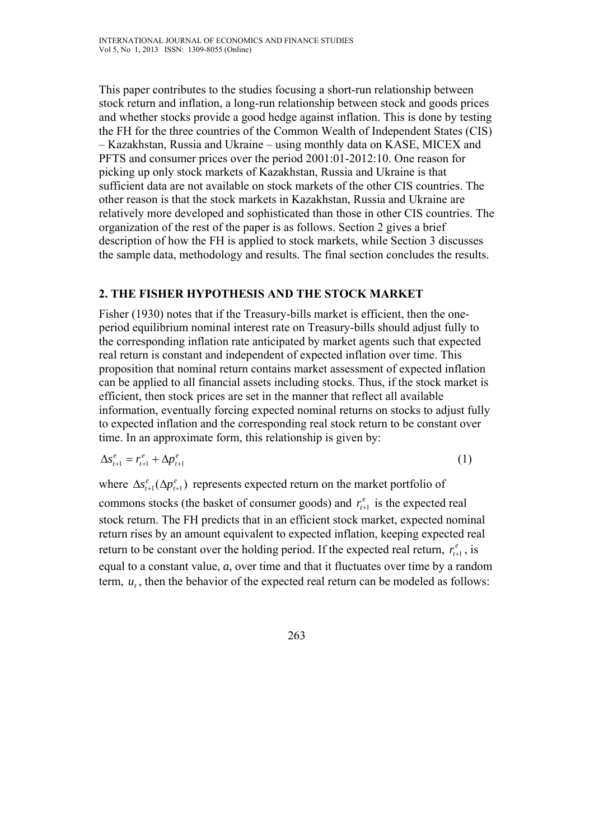This paper contributes to the studies focusing a short-run relationship between stock return and inflation, a long-run relationship between stock and goods prices and whether stocks provide a good hedge against inflation. This is done by testing the FH for the three countries of the Common Wealth of Independent States (CIS) – Kazakhstan, Russia and Ukraine – using monthly data on KASE, MICEX and PFTS and consumer prices over the period 2001:01-2012:10. One reason for picking up only stock markets of Kazakhstan, Russia and Ukraine is that sufficient data are not available on stock markets of the other CIS countries. The other reason is that the stock markets in Kazakhstan, Russia and Ukraine are relatively more developed and sophisticated than those in other CIS countries. The organization of the rest of the paper is as follows. Section 2 gives a brief description of how the FH is applied to stock markets, while Section 3 discusses the sample data, methodology and results. The final section concludes the results.

## **2. THE FISHER HYPOTHESIS AND THE STOCK MARKET**

Fisher (1930) notes that if the Treasury-bills market is efficient, then the oneperiod equilibrium nominal interest rate on Treasury-bills should adjust fully to the corresponding inflation rate anticipated by market agents such that expected real return is constant and independent of expected inflation over time. This proposition that nominal return contains market assessment of expected inflation can be applied to all financial assets including stocks. Thus, if the stock market is efficient, then stock prices are set in the manner that reflect all available information, eventually forcing expected nominal returns on stocks to adjust fully to expected inflation and the corresponding real stock return to be constant over time. In an approximate form, this relationship is given by:

$$
\Delta s_{t+1}^e = r_{t+1}^e + \Delta p_{t+1}^e \tag{1}
$$

where  $\Delta s_{t+1}^e(\Delta p_{t+1}^e)$  $\Delta s$ <sup>e</sup><sub>t+1</sub>( $\Delta p$ <sup>e</sup><sub>t+1</sub>) represents expected return on the market portfolio of

commons stocks (the basket of consumer goods) and  $r_{t+1}^e$  is the expected real stock return. The FH predicts that in an efficient stock market, expected nominal return rises by an amount equivalent to expected inflation, keeping expected real return to be constant over the holding period. If the expected real return,  $r_{t+1}^e$ , is equal to a constant value, *a*, over time and that it fluctuates over time by a random term,  $u_t$ , then the behavior of the expected real return can be modeled as follows: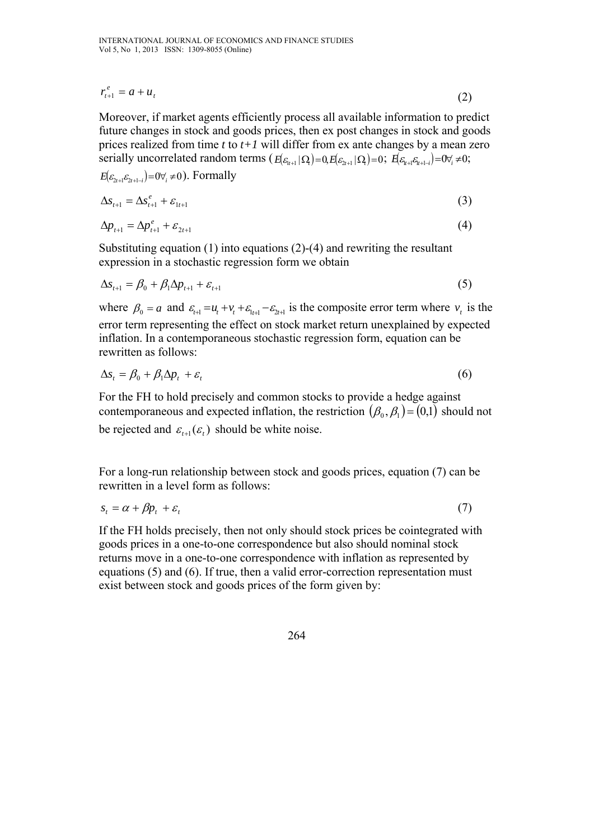$$
r_{t+1}^e = a + u_t \tag{2}
$$

Moreover, if market agents efficiently process all available information to predict future changes in stock and goods prices, then ex post changes in stock and goods prices realized from time *t* to *t+1* will differ from ex ante changes by a mean zero serially uncorrelated random terms  $(E[\varepsilon_{t+1} | \Omega] = 0, E[\varepsilon_{t+1} | \Omega] = 0; E[\varepsilon_{t+1} \varepsilon_{t+1-i}] = 0 \forall i \neq 0;$ 

 $E(\varepsilon_{2t+1}\varepsilon_{2t+1-i})=0\forall_{i}\neq 0$ ). Formally

$$
\Delta s_{t+1} = \Delta s_{t+1}^e + \varepsilon_{1t+1} \tag{3}
$$

$$
\Delta p_{t+1} = \Delta p_{t+1}^e + \varepsilon_{2t+1} \tag{4}
$$

Substituting equation (1) into equations (2)-(4) and rewriting the resultant expression in a stochastic regression form we obtain

$$
\Delta s_{t+1} = \beta_0 + \beta_1 \Delta p_{t+1} + \varepsilon_{t+1} \tag{5}
$$

where  $\beta_0 = a$  and  $\varepsilon_{t+1} = u_t + v_t + \varepsilon_{t+1} - \varepsilon_{2t+1}$  is the composite error term where  $v_t$  is the error term representing the effect on stock market return unexplained by expected inflation. In a contemporaneous stochastic regression form, equation can be rewritten as follows:

$$
\Delta s_t = \beta_0 + \beta_1 \Delta p_t + \varepsilon_t \tag{6}
$$

For the FH to hold precisely and common stocks to provide a hedge against contemporaneous and expected inflation, the restriction  $(\beta_0, \beta_1) = (0,1)$  should not be rejected and  $\varepsilon_{t+1}(\varepsilon_t)$  should be white noise.

For a long-run relationship between stock and goods prices, equation (7) can be rewritten in a level form as follows:

$$
s_t = \alpha + \beta p_t + \varepsilon_t \tag{7}
$$

If the FH holds precisely, then not only should stock prices be cointegrated with goods prices in a one-to-one correspondence but also should nominal stock returns move in a one-to-one correspondence with inflation as represented by equations (5) and (6). If true, then a valid error-correction representation must exist between stock and goods prices of the form given by:

264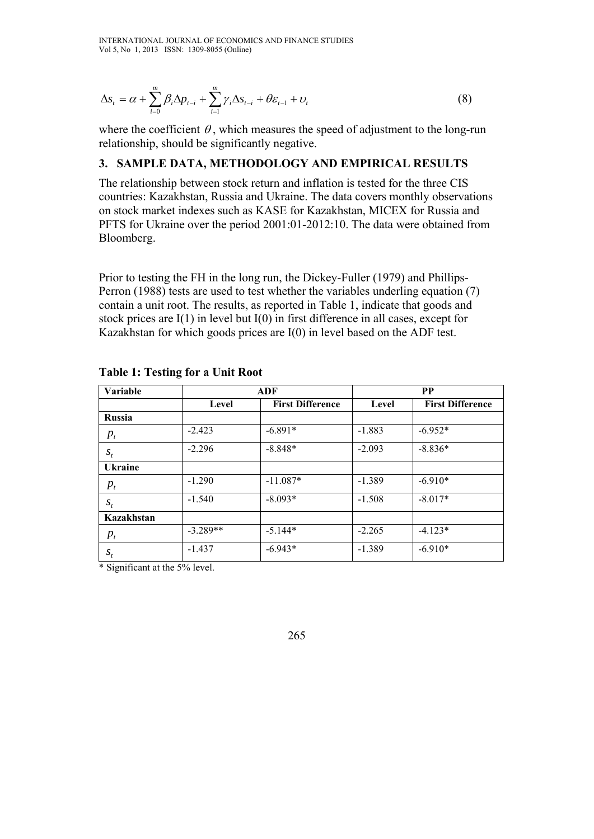$$
\Delta s_t = \alpha + \sum_{i=0}^m \beta_i \Delta p_{t-i} + \sum_{i=1}^m \gamma_i \Delta s_{t-i} + \theta \varepsilon_{t-1} + \nu_t
$$
\n(8)

where the coefficient  $\theta$ , which measures the speed of adjustment to the long-run relationship, should be significantly negative.

### **3. SAMPLE DATA, METHODOLOGY AND EMPIRICAL RESULTS**

The relationship between stock return and inflation is tested for the three CIS countries: Kazakhstan, Russia and Ukraine. The data covers monthly observations on stock market indexes such as KASE for Kazakhstan, MICEX for Russia and PFTS for Ukraine over the period 2001:01-2012:10. The data were obtained from Bloomberg.

Prior to testing the FH in the long run, the Dickey-Fuller (1979) and Phillips-Perron (1988) tests are used to test whether the variables underling equation (7) contain a unit root. The results, as reported in Table 1, indicate that goods and stock prices are I(1) in level but I(0) in first difference in all cases, except for Kazakhstan for which goods prices are I(0) in level based on the ADF test.

| Variable       |            | ADF                     | <b>PP</b> |                         |  |
|----------------|------------|-------------------------|-----------|-------------------------|--|
|                | Level      | <b>First Difference</b> | Level     | <b>First Difference</b> |  |
| <b>Russia</b>  |            |                         |           |                         |  |
| $p_{t}$        | $-2.423$   | $-6.891*$               | $-1.883$  | $-6.952*$               |  |
| $S_t$          | $-2.296$   | $-8.848*$               | $-2.093$  | $-8.836*$               |  |
| <b>Ukraine</b> |            |                         |           |                         |  |
| $p_{t}$        | $-1.290$   | $-11.087*$              | $-1.389$  | $-6.910*$               |  |
| $S_t$          | $-1.540$   | $-8.093*$               | $-1.508$  | $-8.017*$               |  |
| Kazakhstan     |            |                         |           |                         |  |
| $p_{t}$        | $-3.289**$ | $-5.144*$               | $-2.265$  | $-4.123*$               |  |
| $S_t$          | $-1.437$   | $-6.943*$               | $-1.389$  | $-6.910*$               |  |

**Table 1: Testing for a Unit Root** 

\* Significant at the 5% level.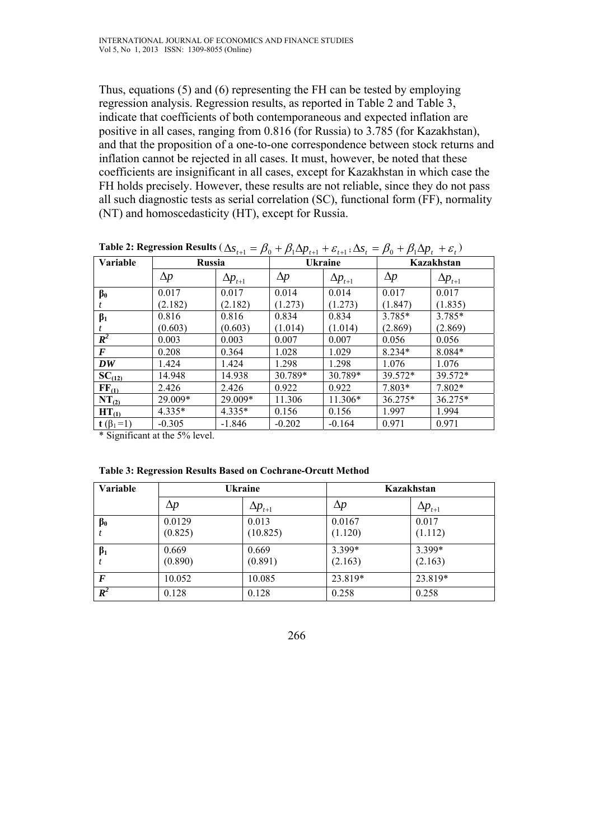Thus, equations (5) and (6) representing the FH can be tested by employing regression analysis. Regression results, as reported in Table 2 and Table 3, indicate that coefficients of both contemporaneous and expected inflation are positive in all cases, ranging from 0.816 (for Russia) to 3.785 (for Kazakhstan), and that the proposition of a one-to-one correspondence between stock returns and inflation cannot be rejected in all cases. It must, however, be noted that these coefficients are insignificant in all cases, except for Kazakhstan in which case the FH holds precisely. However, these results are not reliable, since they do not pass all such diagnostic tests as serial correlation (SC), functional form (FF), normality (NT) and homoscedasticity (HT), except for Russia.

| <b>Table 2.</b> Regression Results $(\Delta s_{t+1} - \mu_0 + \mu_1 \Delta \mu_{t+1} + \epsilon_{t+1}; \Delta s_t - \mu_0 + \mu_1 \Delta \mu_t + \epsilon_t)$ |               |                  |                |                  |            |                  |
|---------------------------------------------------------------------------------------------------------------------------------------------------------------|---------------|------------------|----------------|------------------|------------|------------------|
| Variable                                                                                                                                                      | <b>Russia</b> |                  | <b>Ukraine</b> |                  | Kazakhstan |                  |
|                                                                                                                                                               | $\Delta p$    | $\Delta p_{t+1}$ | $\Delta p$     | $\Delta p_{t+1}$ | $\Delta p$ | $\Delta p_{t+1}$ |
| $\beta_0$                                                                                                                                                     | 0.017         | 0.017            | 0.014          | 0.014            | 0.017      | 0.017            |
|                                                                                                                                                               | (2.182)       | (2.182)          | (1.273)        | (1.273)          | (1.847)    | (1.835)          |
| $\beta_1$                                                                                                                                                     | 0.816         | 0.816            | 0.834          | 0.834            | $3.785*$   | $3.785*$         |
|                                                                                                                                                               | (0.603)       | (0.603)          | (1.014)        | (1.014)          | (2.869)    | (2.869)          |
| $\boldsymbol{R}^2$                                                                                                                                            | 0.003         | 0.003            | 0.007          | 0.007            | 0.056      | 0.056            |
| $\boldsymbol{F}$                                                                                                                                              | 0.208         | 0.364            | 1.028          | 1.029            | $8.234*$   | 8.084*           |
| DW                                                                                                                                                            | 1.424         | 1.424            | 1.298          | 1.298            | 1.076      | 1.076            |
| $SC_{(\underline{12})}$                                                                                                                                       | 14.948        | 14.938           | 30.789*        | 30.789*          | 39.572*    | 39.572*          |
| $\mathrm{FF}_{(1)}$                                                                                                                                           | 2.426         | 2.426            | 0.922          | 0.922            | $7.803*$   | 7.802*           |
| $NT_{(2)}$                                                                                                                                                    | 29.009*       | 29.009*          | 11.306         | $11.306*$        | $36.275*$  | 36.275*          |
| $HT_{(1)}$                                                                                                                                                    | $4.335*$      | $4.335*$         | 0.156          | 0.156            | 1.997      | 1.994            |
| $t(\beta_1=1)$                                                                                                                                                | $-0.305$      | $-1.846$         | $-0.202$       | $-0.164$         | 0.971      | 0.971            |

**Table 2: Regression Results**  $(As) = B_1 + B_2A p_1 + B_3 \cdot A s_2 = B_1 + B_2A p_2 + B_3$ 

\* Significant at the 5% level.

| Table 3: Regression Results Based on Cochrane-Orcutt Method |
|-------------------------------------------------------------|
|-------------------------------------------------------------|

| <b>Variable</b>  | <b>Ukraine</b>    |                     | Kazakhstan        |                   |
|------------------|-------------------|---------------------|-------------------|-------------------|
|                  | $\Delta p$        | $\Delta p_{_{t+1}}$ | $\Delta p$        | $\Delta p_{t+1}$  |
| $\beta_0$        | 0.0129<br>(0.825) | 0.013<br>(10.825)   | 0.0167<br>(1.120) | 0.017<br>(1.112)  |
| $\beta_1$        | 0.669<br>(0.890)  | 0.669<br>(0.891)    | 3.399*<br>(2.163) | 3.399*<br>(2.163) |
| $\bm{F}$         | 10.052            | 10.085              | 23.819*           | 23.819*           |
| $\overline{R^2}$ | 0.128             | 0.128               | 0.258             | 0.258             |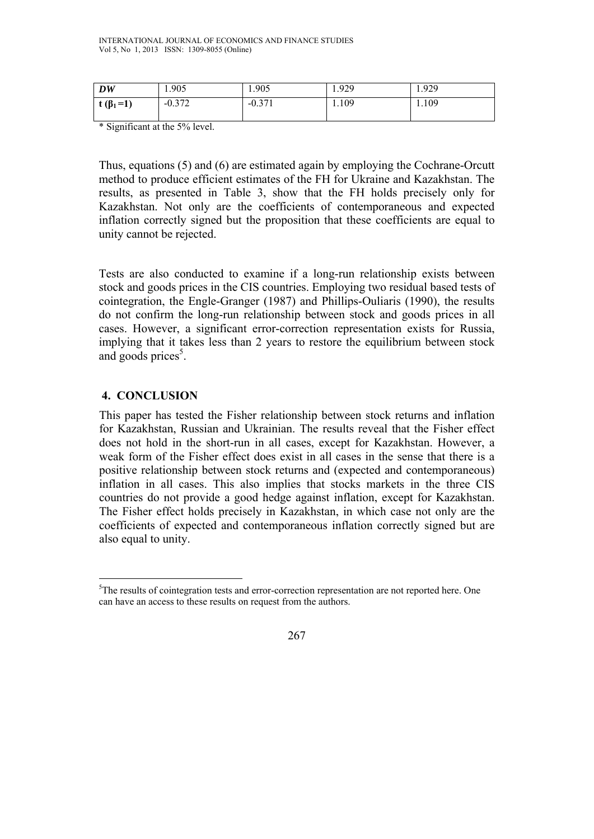| DW              | 1.905    | 1.905    | 1.929 | 1.929 |
|-----------------|----------|----------|-------|-------|
| t $(\beta_1=1)$ | $-0.372$ | $-0.371$ | 1.109 | 1.109 |

\* Significant at the 5% level.

Thus, equations (5) and (6) are estimated again by employing the Cochrane-Orcutt method to produce efficient estimates of the FH for Ukraine and Kazakhstan. The results, as presented in Table 3, show that the FH holds precisely only for Kazakhstan. Not only are the coefficients of contemporaneous and expected inflation correctly signed but the proposition that these coefficients are equal to unity cannot be rejected.

Tests are also conducted to examine if a long-run relationship exists between stock and goods prices in the CIS countries. Employing two residual based tests of cointegration, the Engle-Granger (1987) and Phillips-Ouliaris (1990), the results do not confirm the long-run relationship between stock and goods prices in all cases. However, a significant error-correction representation exists for Russia, implying that it takes less than 2 years to restore the equilibrium between stock and goods prices<sup>5</sup>.

## **4. CONCLUSION**

 $\overline{a}$ 

This paper has tested the Fisher relationship between stock returns and inflation for Kazakhstan, Russian and Ukrainian. The results reveal that the Fisher effect does not hold in the short-run in all cases, except for Kazakhstan. However, a weak form of the Fisher effect does exist in all cases in the sense that there is a positive relationship between stock returns and (expected and contemporaneous) inflation in all cases. This also implies that stocks markets in the three CIS countries do not provide a good hedge against inflation, except for Kazakhstan. The Fisher effect holds precisely in Kazakhstan, in which case not only are the coefficients of expected and contemporaneous inflation correctly signed but are also equal to unity.

<sup>&</sup>lt;sup>5</sup>The results of cointegration tests and error-correction representation are not reported here. One can have an access to these results on request from the authors.

<sup>267</sup>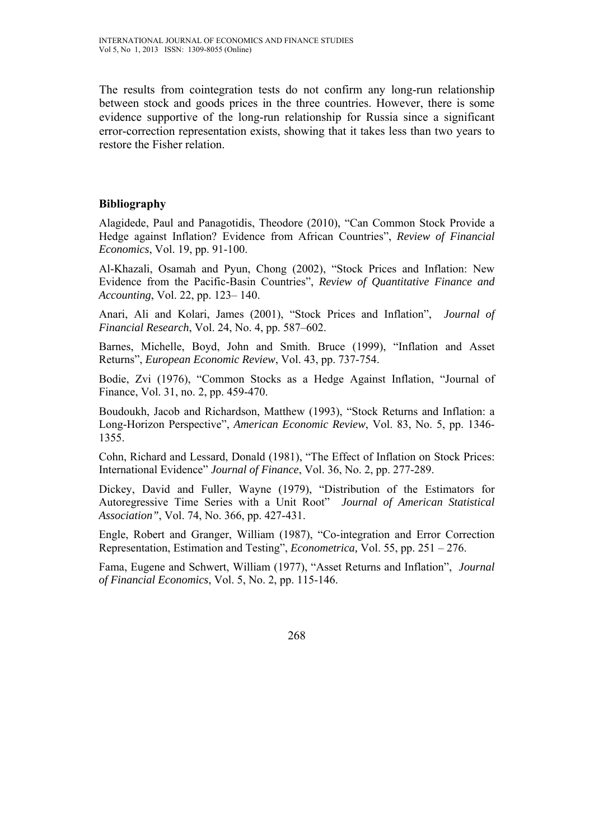The results from cointegration tests do not confirm any long-run relationship between stock and goods prices in the three countries. However, there is some evidence supportive of the long-run relationship for Russia since a significant error-correction representation exists, showing that it takes less than two years to restore the Fisher relation.

### **Bibliography**

Alagidede, Paul and Panagotidis, Theodore (2010), "Can Common Stock Provide a Hedge against Inflation? Evidence from African Countries", *Review of Financial Economics*, Vol. 19, pp. 91-100.

Al-Khazali, Osamah and Pyun, Chong (2002), "Stock Prices and Inflation: New Evidence from the Pacific-Basin Countries", *Review of Quantitative Finance and Accounting*, Vol. 22, pp. 123– 140.

Anari, Ali and Kolari, James (2001), "Stock Prices and Inflation", *Journal of Financial Research*, Vol. 24, No. 4, pp. 587–602.

Barnes, Michelle, Boyd, John and Smith. Bruce (1999), "Inflation and Asset Returns", *European Economic Review*, Vol. 43, pp. 737-754.

Bodie, Zvi (1976), "Common Stocks as a Hedge Against Inflation, "Journal of Finance, Vol. 31, no. 2, pp. 459-470.

Boudoukh, Jacob and Richardson, Matthew (1993), "Stock Returns and Inflation: a Long-Horizon Perspective", *American Economic Review*, Vol. 83, No. 5, pp. 1346- 1355.

Cohn, Richard and Lessard, Donald (1981), "The Effect of Inflation on Stock Prices: International Evidence" *Journal of Finance*, Vol. 36, No. 2, pp. 277-289.

Dickey, David and Fuller, Wayne (1979), "Distribution of the Estimators for Autoregressive Time Series with a Unit Root" *Journal of American Statistical Association"*, Vol. 74, No. 366, pp. 427-431.

Engle, Robert and Granger, William (1987), "Co-integration and Error Correction Representation, Estimation and Testing", *Econometrica,* Vol. 55, pp. 251 – 276.

Fama, Eugene and Schwert, William (1977), "Asset Returns and Inflation", *Journal of Financial Economics*, Vol. 5, No. 2, pp. 115-146.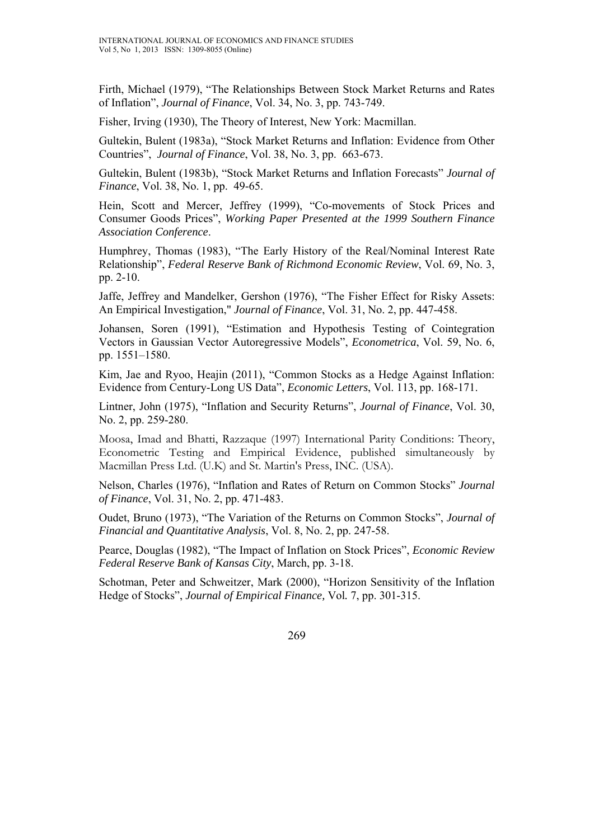Firth, Michael (1979), "The Relationships Between Stock Market Returns and Rates of Inflation", *Journal of Finance*, Vol. 34, No. 3, pp. 743-749.

Fisher, Irving (1930), The Theory of Interest, New York: Macmillan.

Gultekin, Bulent (1983a), "Stock Market Returns and Inflation: Evidence from Other Countries", *Journal of Finance*, Vol. 38, No. 3, pp. 663-673.

Gultekin, Bulent (1983b), "Stock Market Returns and Inflation Forecasts" *Journal of Finance*, Vol. 38, No. 1, pp. 49-65.

Hein, Scott and Mercer, Jeffrey (1999), "Co-movements of Stock Prices and Consumer Goods Prices", *Working Paper Presented at the 1999 Southern Finance Association Conference*.

Humphrey, Thomas (1983), "The Early History of the Real/Nominal Interest Rate Relationship", *Federal Reserve Bank of Richmond Economic Review*, Vol. 69, No. 3, pp. 2-10.

Jaffe, Jeffrey and Mandelker, Gershon (1976), "The Fisher Effect for Risky Assets: An Empirical Investigation," *Journal of Finance*, Vol. 31, No. 2, pp. 447-458.

Johansen, Soren (1991), "Estimation and Hypothesis Testing of Cointegration Vectors in Gaussian Vector Autoregressive Models", *Econometrica*, Vol. 59, No. 6, pp. 1551–1580.

Kim, Jae and Ryoo, Heajin (2011), "Common Stocks as a Hedge Against Inflation: Evidence from Century-Long US Data", *Economic Letters*, Vol. 113, pp. 168-171.

Lintner, John (1975), "Inflation and Security Returns", *Journal of Finance*, Vol. 30, No. 2, pp. 259-280.

Moosa, Imad and Bhatti, Razzaque (1997) International Parity Conditions: Theory, Econometric Testing and Empirical Evidence, published simultaneously by Macmillan Press Ltd. (U.K) and St. Martin's Press, INC. (USA).

Nelson, Charles (1976), "Inflation and Rates of Return on Common Stocks" *Journal of Finance*, Vol. 31, No. 2, pp. 471-483.

Oudet, Bruno (1973), "The Variation of the Returns on Common Stocks", *Journal of Financial and Quantitative Analysis*, Vol. 8, No. 2, pp. 247-58.

Pearce, Douglas (1982), "The Impact of Inflation on Stock Prices", *Economic Review Federal Reserve Bank of Kansas City*, March, pp. 3-18.

Schotman, Peter and Schweitzer, Mark (2000), "Horizon Sensitivity of the Inflation Hedge of Stocks", *Journal of Empirical Finance,* Vol*.* 7, pp. 301-315.